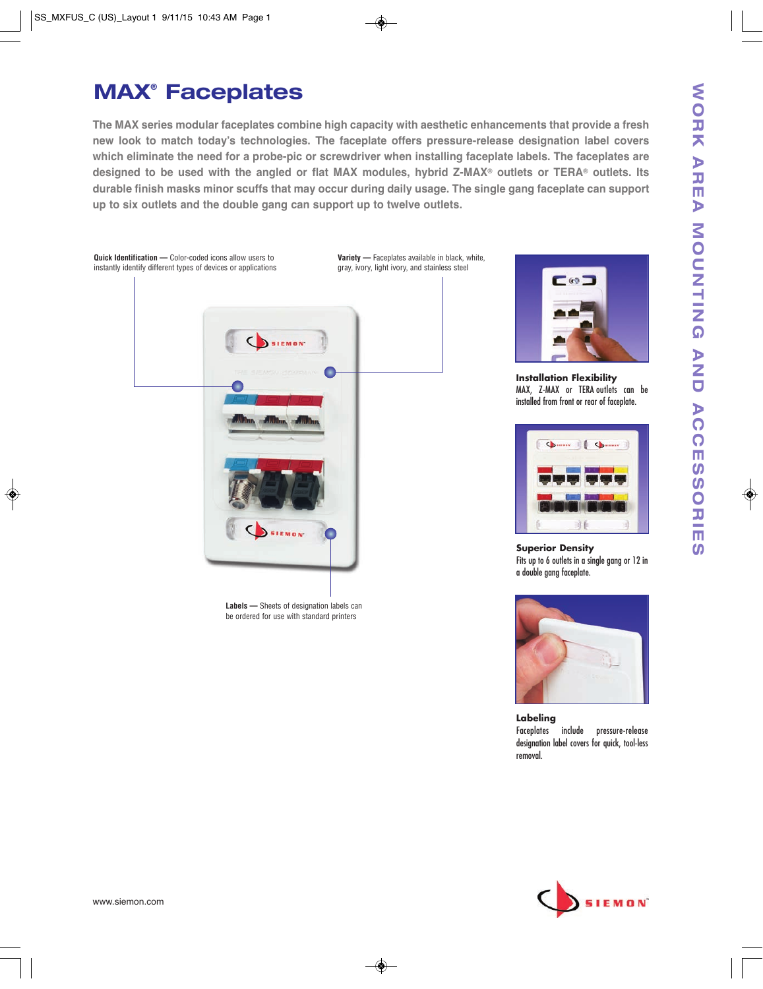# **MAX® Faceplates**

**The MAX series modular faceplates combine high capacity with aesthetic enhancements that provide a fresh new look to match today's technologies. The faceplate offers pressure-release designation label covers which eliminate the need for a probe-pic or screwdriver when installing faceplate labels. The faceplates are designed to be used with the angled or flat MAX modules, hybrid Z-MAX® outlets or TERA® outlets. Its durable finish masks minor scuffs that may occur during daily usage. The single gang faceplate can support up to six outlets and the double gang can support up to twelve outlets.** 





**Installation Flexibility** MAX, Z-MAX or TERA outlets can be installed from front or rear of faceplate.



**Superior Density** Fits up to 6 outlets in a single gang or 12 in a double gang faceplate.



**Labeling** Faceplates include pressure-release designation label covers for quick, tool-less removal.

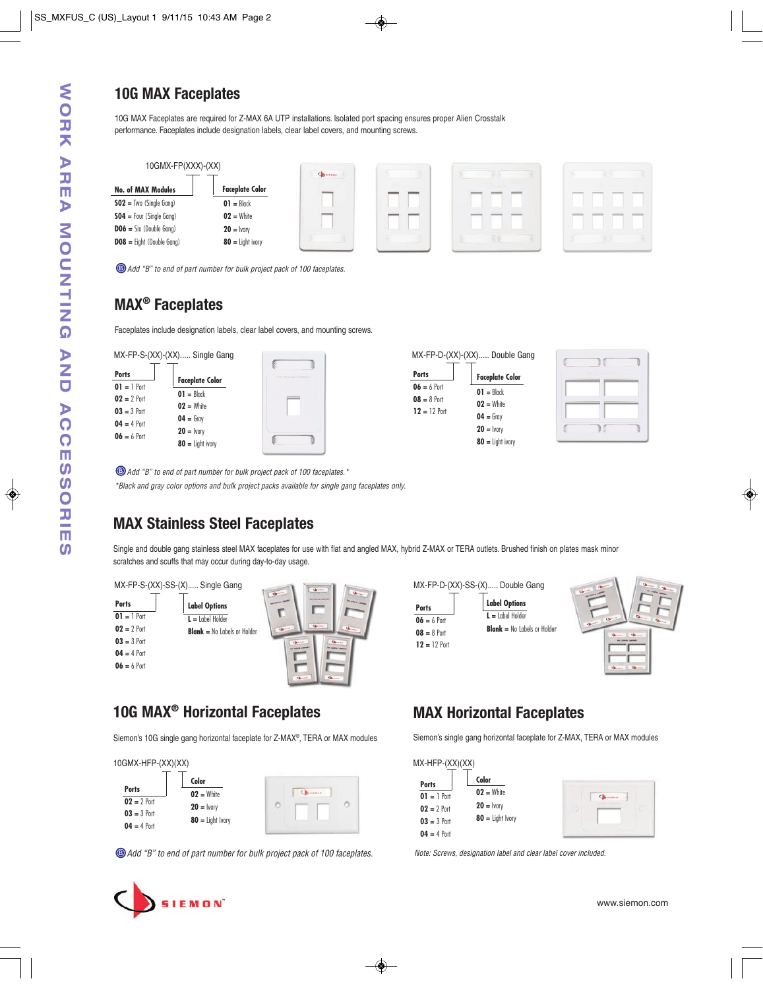# **10G MAX Faceplates**

10G MAX Faceplates are required for Z-MAX 6A UTP installations. Isolated port spacing ensures proper Alien Crosstalk performance. Faceplates include designation labels, clear label covers, and mounting screws.



Add "B" to end of part number for bulk project pack of 100 faceplates.

# **MAX® Faceplates**

Faceplates include designation labels, clear label covers, and mounting screws.

| MX-FP-S-(XX)-(XX) Single Gang |  |  |
|-------------------------------|--|--|
|                               |  |  |

| Ports         |                        |
|---------------|------------------------|
| $01 = 1$ Port | <b>Faceplate Color</b> |
| $02 = 2$ Port | $01 =$ Black           |
|               | $02 =$ White           |
| $03 = 3$ Port | $04 =$ Gray            |
| $04 = 4$ Port |                        |
| $06 = 6$ Port | $20 =$ Ivory           |
|               | $80 =$ Light ivory     |

| ß | THE RIEGON COMPANY |  |
|---|--------------------|--|
|   |                    |  |
|   |                    |  |
|   |                    |  |
|   |                    |  |
|   |                    |  |



|   | THE SUMMON COMMAND |  |
|---|--------------------|--|
|   |                    |  |
|   |                    |  |
| ¢ | г.                 |  |

Add "B" to end of part number for bulk project pack of 100 faceplates.\*

\*Black and gray color options and bulk project packs available for single gang faceplates only.

# **MAX Stainless Steel Faceplates**

Single and double gang stainless steel MAX faceplates for use with flat and angled MAX, hybrid Z-MAX or TERA outlets. Brushed finish on plates mask minor scratches and scuffs that may occur during day-to-day usage.

MX-FP-S-(XX)-SS-(X)..... Single Gang **Label Options L =** Label Holder **Blank =** No Labels or Holder **Ports 01 =** 1 Port **02 =** 2 Port **03 =** 3 Port **04 =** 4 Port **06 =** 6 Port

|                | MX-FP-D-(XX)-SS-(X) Double Gang    |
|----------------|------------------------------------|
| <b>Ports</b>   | <b>Label Options</b>               |
| $06 = 6$ Port  | $L =$ I abel Holder                |
| $08 = 8$ Port  | <b>Blank</b> = No Labels or Holder |
| $12 = 12$ Port |                                    |
|                |                                    |



# **10G MAX® Horizontal Faceplates**

Siemon's 10G single gang horizontal faceplate for Z-MAX®, TERA or MAX modules

|               | Color              |  |
|---------------|--------------------|--|
| <b>Ports</b>  | $02 =$ White       |  |
| $02 = 2$ Port | $20 =$ Ivory       |  |
| $03 = 3$ Port | $80 =$ Light Ivory |  |

Add "B" to end of part number for bulk project pack of 100 faceplates.

# **MAX Horizontal Faceplates**

Siemon's single gang horizontal faceplate for Z-MAX, TERA or MAX modules

| MX-HFP-(XX)(XX) |                    |               |
|-----------------|--------------------|---------------|
| <b>Ports</b>    | Color              |               |
| $01 = 1$ Port   | $02 =$ White       | <b>Kilmen</b> |
| $02 = 2$ Port   | $20 =$ lvory       |               |
| $03 = 3$ Port   | $80 =$ Light Ivory |               |
| $04 = 4$ Port   |                    |               |

Note: Screws, designation label and clear label cover included.



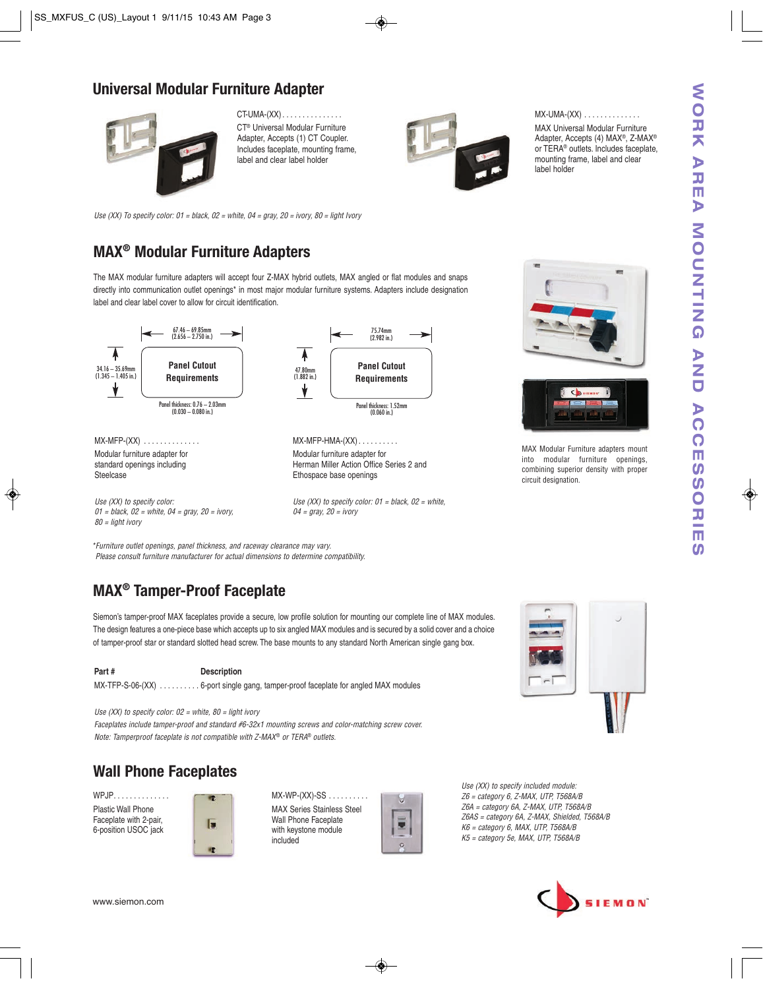### **Universal Modular Furniture Adapter**



CT-UMA-(XX) . . . . . . . . . . . . . . . CT® Universal Modular Furniture Adapter, Accepts (1) CT Coupler. Includes faceplate, mounting frame, label and clear label holder



 $MX$ -UMA- $(XX)$  . . . . . . . . . . . . . .

MAX Universal Modular Furniture Adapter, Accepts (4) MAX®, Z-MAX® or TERA® outlets. Includes faceplate, mounting frame, label and clear label holder

Use (XX) To specify color:  $01 =$  black,  $02 =$  white,  $04 =$  gray,  $20 =$  ivory,  $80 =$  light Ivory

# **MAX® Modular Furniture Adapters**

The MAX modular furniture adapters will accept four Z-MAX hybrid outlets, MAX angled or flat modules and snaps directly into communication outlet openings\* in most major modular furniture systems. Adapters include designation label and clear label cover to allow for circuit identification.



Use (XX) to specify color:  $01 =$  black,  $02 =$  white,  $04 = \text{arav}$ ,  $20 = \text{i}$ vorv





MAX Modular Furniture adapters mount into modular furniture openings, combining superior density with proper circuit designation.

\*Furniture outlet openings, panel thickness, and raceway clearance may vary. Please consult furniture manufacturer for actual dimensions to determine compatibility.

# **MAX® Tamper-Proof Faceplate**

 $01$  = black,  $02$  = white,  $04$  = gray,  $20$  = ivory,

80 = light ivory

Siemon's tamper-proof MAX faceplates provide a secure, low profile solution for mounting our complete line of MAX modules. The design features a one-piece base which accepts up to six angled MAX modules and is secured by a solid cover and a choice of tamper-proof star or standard slotted head screw. The base mounts to any standard North American single gang box.

Part # Description MX-TFP-S-06-(XX)  $\ldots$ .......6-port single gang, tamper-proof faceplate for angled MAX modules

Use (XX) to specify color:  $02$  = white,  $80$  = light ivory

Faceplates include tamper-proof and standard #6-32x1 mounting screws and color-matching screw cover. Note: Tamperproof faceplate is not compatible with Z-MAX® or TERA® outlets.



WPJP. . . . . . . . . . . . . . Plastic Wall Phone Faceplate with 2-pair, 6-position USOC jack



MX-WP-(XX)-SS . . . . . . . . . . MAX Series Stainless Steel Wall Phone Faceplate with keystone module included



Use (XX) to specify included module:  $Z6$  = category 6,  $Z$ -MAX, UTP, T568A/B Z6A = category 6A, Z-MAX, UTP, T568A/B Z6AS = category 6A, Z-MAX, Shielded, T568A/B K6 = category 6, MAX, UTP, T568A/B K5 = category 5e, MAX, UTP, T568A/B